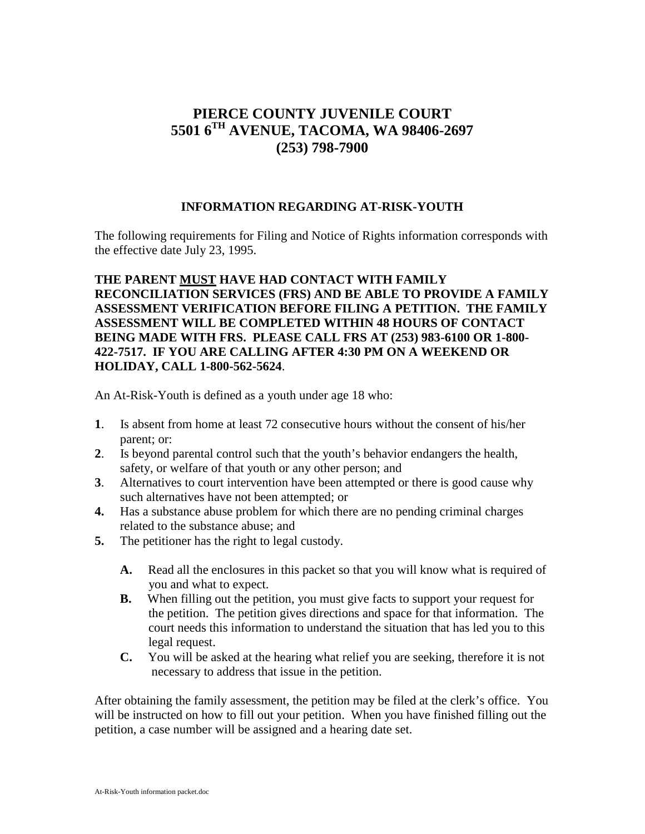# **PIERCE COUNTY JUVENILE COURT 5501 6TH AVENUE, TACOMA, WA 98406-2697 (253) 798-7900**

#### **INFORMATION REGARDING AT-RISK-YOUTH**

The following requirements for Filing and Notice of Rights information corresponds with the effective date July 23, 1995.

### **THE PARENT MUST HAVE HAD CONTACT WITH FAMILY RECONCILIATION SERVICES (FRS) AND BE ABLE TO PROVIDE A FAMILY ASSESSMENT VERIFICATION BEFORE FILING A PETITION. THE FAMILY ASSESSMENT WILL BE COMPLETED WITHIN 48 HOURS OF CONTACT BEING MADE WITH FRS. PLEASE CALL FRS AT (253) 983-6100 OR 1-800- 422-7517. IF YOU ARE CALLING AFTER 4:30 PM ON A WEEKEND OR HOLIDAY, CALL 1-800-562-5624**.

An At-Risk-Youth is defined as a youth under age 18 who:

- **1**. Is absent from home at least 72 consecutive hours without the consent of his/her parent; or:
- **2**. Is beyond parental control such that the youth's behavior endangers the health, safety, or welfare of that youth or any other person; and
- **3**. Alternatives to court intervention have been attempted or there is good cause why such alternatives have not been attempted; or
- **4.** Has a substance abuse problem for which there are no pending criminal charges related to the substance abuse; and
- **5.** The petitioner has the right to legal custody.
	- **A.** Read all the enclosures in this packet so that you will know what is required of you and what to expect.
	- **B.** When filling out the petition, you must give facts to support your request for the petition. The petition gives directions and space for that information. The court needs this information to understand the situation that has led you to this legal request.
	- **C.** You will be asked at the hearing what relief you are seeking, therefore it is not necessary to address that issue in the petition.

After obtaining the family assessment, the petition may be filed at the clerk's office. You will be instructed on how to fill out your petition. When you have finished filling out the petition, a case number will be assigned and a hearing date set.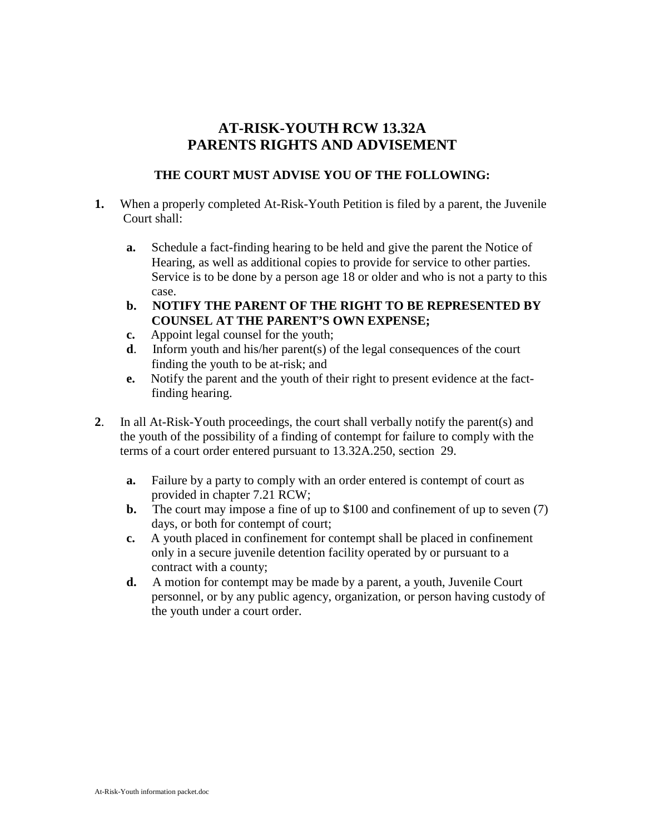## **AT-RISK-YOUTH RCW 13.32A PARENTS RIGHTS AND ADVISEMENT**

### **THE COURT MUST ADVISE YOU OF THE FOLLOWING:**

- **1.** When a properly completed At-Risk-Youth Petition is filed by a parent, the Juvenile Court shall:
	- **a.** Schedule a fact-finding hearing to be held and give the parent the Notice of Hearing, as well as additional copies to provide for service to other parties. Service is to be done by a person age 18 or older and who is not a party to this case.
	- **b. NOTIFY THE PARENT OF THE RIGHT TO BE REPRESENTED BY COUNSEL AT THE PARENT'S OWN EXPENSE;**
	- **c.** Appoint legal counsel for the youth;
	- **d**. Inform youth and his/her parent(s) of the legal consequences of the court finding the youth to be at-risk; and
	- **e.** Notify the parent and the youth of their right to present evidence at the fact finding hearing.
- **2**. In all At-Risk-Youth proceedings, the court shall verbally notify the parent(s) and the youth of the possibility of a finding of contempt for failure to comply with the terms of a court order entered pursuant to 13.32A.250, section 29.
	- **a.** Failure by a party to comply with an order entered is contempt of court as provided in chapter 7.21 RCW;
	- **b.** The court may impose a fine of up to \$100 and confinement of up to seven (7) days, or both for contempt of court;
	- **c.** A youth placed in confinement for contempt shall be placed in confinement only in a secure juvenile detention facility operated by or pursuant to a contract with a county;
	- **d.** A motion for contempt may be made by a parent, a youth, Juvenile Court personnel, or by any public agency, organization, or person having custody of the youth under a court order.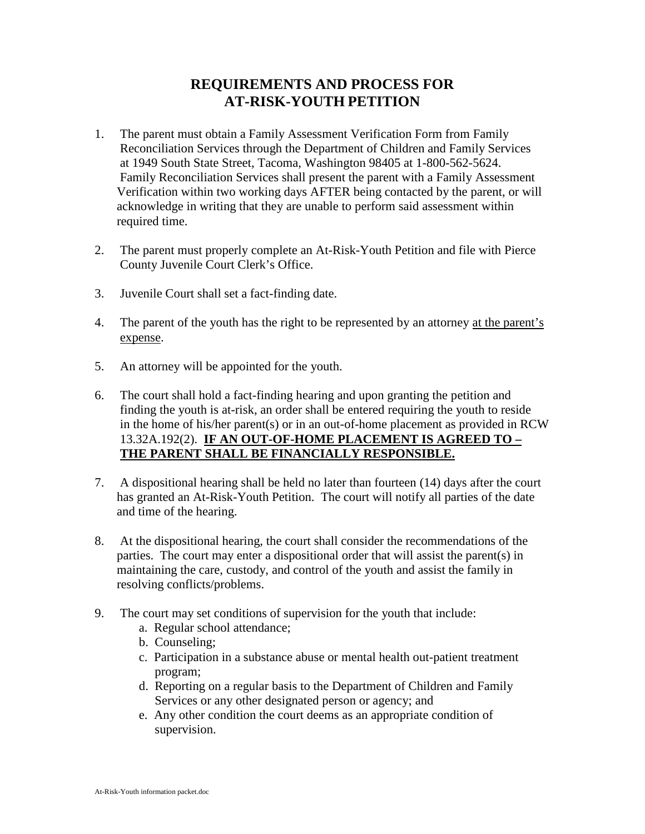# **REQUIREMENTS AND PROCESS FOR AT-RISK-YOUTH PETITION**

- 1. The parent must obtain a Family Assessment Verification Form from Family Reconciliation Services through the Department of Children and Family Services at 1949 South State Street, Tacoma, Washington 98405 at 1-800-562-5624. Family Reconciliation Services shall present the parent with a Family Assessment Verification within two working days AFTER being contacted by the parent, or will acknowledge in writing that they are unable to perform said assessment within required time.
- 2. The parent must properly complete an At-Risk-Youth Petition and file with Pierce County Juvenile Court Clerk's Office.
- 3. Juvenile Court shall set a fact-finding date.
- 4. The parent of the youth has the right to be represented by an attorney at the parent's expense.
- 5. An attorney will be appointed for the youth.
- 6. The court shall hold a fact-finding hearing and upon granting the petition and finding the youth is at-risk, an order shall be entered requiring the youth to reside in the home of his/her parent(s) or in an out-of-home placement as provided in RCW 13.32A.192(2). **IF AN OUT-OF-HOME PLACEMENT IS AGREED TO – THE PARENT SHALL BE FINANCIALLY RESPONSIBLE.**
- 7. A dispositional hearing shall be held no later than fourteen (14) days after the court has granted an At-Risk-Youth Petition. The court will notify all parties of the date and time of the hearing.
- 8. At the dispositional hearing, the court shall consider the recommendations of the parties. The court may enter a dispositional order that will assist the parent(s) in maintaining the care, custody, and control of the youth and assist the family in resolving conflicts/problems.
- 9. The court may set conditions of supervision for the youth that include:
	- a. Regular school attendance;
	- b. Counseling;
	- c. Participation in a substance abuse or mental health out-patient treatment program;
	- d. Reporting on a regular basis to the Department of Children and Family Services or any other designated person or agency; and
	- e. Any other condition the court deems as an appropriate condition of supervision.